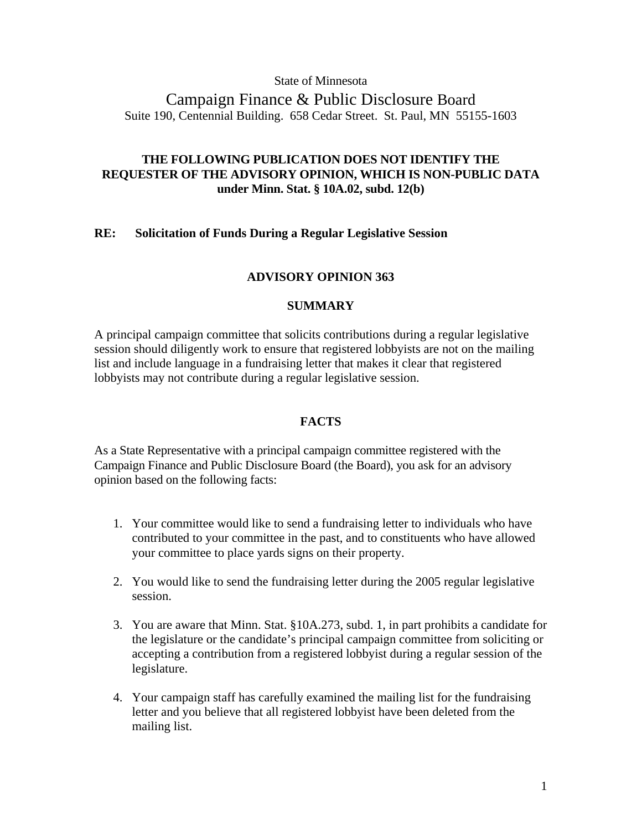### State of Minnesota

# Campaign Finance & Public Disclosure Board Suite 190, Centennial Building. 658 Cedar Street. St. Paul, MN 55155-1603

# **THE FOLLOWING PUBLICATION DOES NOT IDENTIFY THE REQUESTER OF THE ADVISORY OPINION, WHICH IS NON-PUBLIC DATA under Minn. Stat. § 10A.02, subd. 12(b)**

## **RE: Solicitation of Funds During a Regular Legislative Session**

## **ADVISORY OPINION 363**

## **SUMMARY**

A principal campaign committee that solicits contributions during a regular legislative session should diligently work to ensure that registered lobbyists are not on the mailing list and include language in a fundraising letter that makes it clear that registered lobbyists may not contribute during a regular legislative session.

## **FACTS**

As a State Representative with a principal campaign committee registered with the Campaign Finance and Public Disclosure Board (the Board), you ask for an advisory opinion based on the following facts:

- 1. Your committee would like to send a fundraising letter to individuals who have contributed to your committee in the past, and to constituents who have allowed your committee to place yards signs on their property.
- 2. You would like to send the fundraising letter during the 2005 regular legislative session.
- 3. You are aware that Minn. Stat. §10A.273, subd. 1, in part prohibits a candidate for the legislature or the candidate's principal campaign committee from soliciting or accepting a contribution from a registered lobbyist during a regular session of the legislature.
- 4. Your campaign staff has carefully examined the mailing list for the fundraising letter and you believe that all registered lobbyist have been deleted from the mailing list.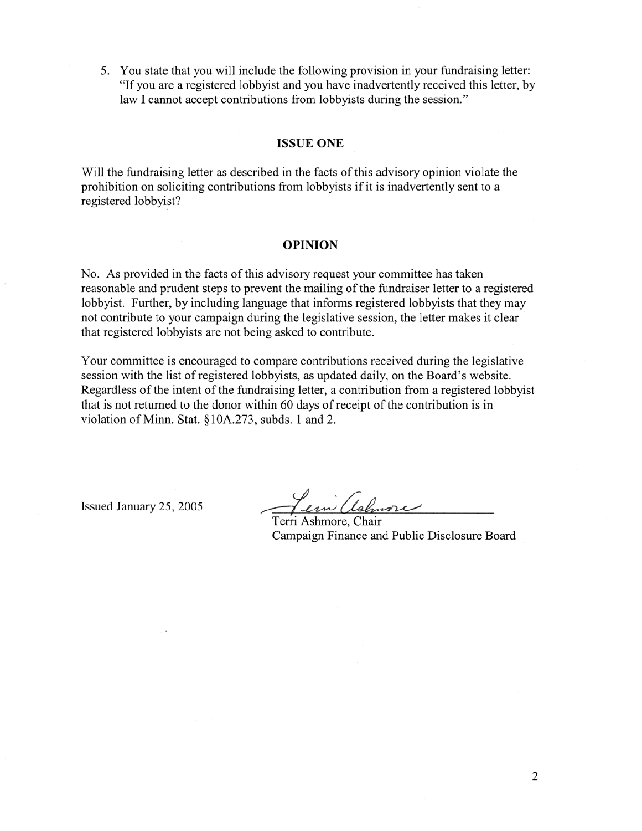5. You state that you will include the following provision in your fundraising letter: "If you are a registered lobbyist and you have inadvertently received this letter, by law I cannot accept contributions from lobbyists during the session."

#### **ISSUE ONE**

Will the fundraising letter as described in the facts of this advisory opinion violate the prohibition on soliciting contributions from lobbyists if it is inadvertently sent to a registered lobbyist?

#### **OPINION**

No. As provided in the facts of this advisory request your committee has taken reasonable and prudent steps to prevent the mailing of the fundraiser letter to a registered lobbyist. Further, by including language that informs registered lobbyists that they may not contribute to your campaign during the legislative session, the letter makes it clear that registered lobbyists are not being asked to contribute.

Your committee is encouraged to compare contributions received during the legislative session with the list of registered lobbyists, as updated daily, on the Board's website. Regardless of the intent of the fundraising letter, a contribution from a registered lobbyist that is not returned to the donor within 60 days of receipt of the contribution is in violation of Minn. Stat. §10A.273, subds. 1 and 2.

Issued January 25, 2005

em (telmore

Terri Ashmore, Chair Campaign Finance and Public Disclosure Board